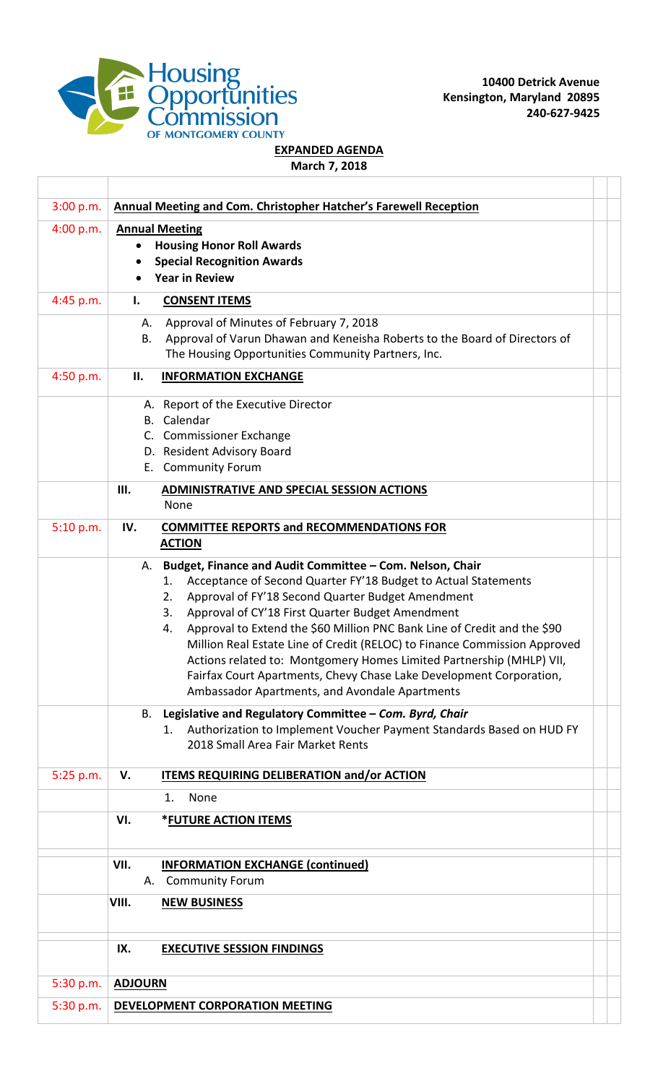

**10400 Detrick Avenue Kensington, Maryland 20895 240-627-9425**

## **EXPANDED AGENDA**

**March 7, 2018**

| 3:00 p.m.   | Annual Meeting and Com. Christopher Hatcher's Farewell Reception                                                                                                                                                                                                                                                                                                                                                                                                                                                                                                                                                            |  |
|-------------|-----------------------------------------------------------------------------------------------------------------------------------------------------------------------------------------------------------------------------------------------------------------------------------------------------------------------------------------------------------------------------------------------------------------------------------------------------------------------------------------------------------------------------------------------------------------------------------------------------------------------------|--|
| 4:00 p.m.   | <b>Annual Meeting</b><br><b>Housing Honor Roll Awards</b><br><b>Special Recognition Awards</b><br><b>Year in Review</b>                                                                                                                                                                                                                                                                                                                                                                                                                                                                                                     |  |
| 4:45 p.m.   | <b>CONSENT ITEMS</b><br>Ι.                                                                                                                                                                                                                                                                                                                                                                                                                                                                                                                                                                                                  |  |
|             | Approval of Minutes of February 7, 2018<br>А.<br>Approval of Varun Dhawan and Keneisha Roberts to the Board of Directors of<br>Β.<br>The Housing Opportunities Community Partners, Inc.                                                                                                                                                                                                                                                                                                                                                                                                                                     |  |
| 4:50 p.m.   | П.<br><b>INFORMATION EXCHANGE</b>                                                                                                                                                                                                                                                                                                                                                                                                                                                                                                                                                                                           |  |
|             | A. Report of the Executive Director<br><b>B.</b> Calendar<br>C. Commissioner Exchange<br>D. Resident Advisory Board<br>E. Community Forum                                                                                                                                                                                                                                                                                                                                                                                                                                                                                   |  |
|             | Ш.<br><b>ADMINISTRATIVE AND SPECIAL SESSION ACTIONS</b><br>None                                                                                                                                                                                                                                                                                                                                                                                                                                                                                                                                                             |  |
| 5:10 p.m.   | IV.<br><b>COMMITTEE REPORTS and RECOMMENDATIONS FOR</b><br><b>ACTION</b>                                                                                                                                                                                                                                                                                                                                                                                                                                                                                                                                                    |  |
|             | Budget, Finance and Audit Committee - Com. Nelson, Chair<br>А.<br>Acceptance of Second Quarter FY'18 Budget to Actual Statements<br>1.<br>Approval of FY'18 Second Quarter Budget Amendment<br>2.<br>Approval of CY'18 First Quarter Budget Amendment<br>3.<br>Approval to Extend the \$60 Million PNC Bank Line of Credit and the \$90<br>4.<br>Million Real Estate Line of Credit (RELOC) to Finance Commission Approved<br>Actions related to: Montgomery Homes Limited Partnership (MHLP) VII,<br>Fairfax Court Apartments, Chevy Chase Lake Development Corporation,<br>Ambassador Apartments, and Avondale Apartments |  |
|             | Legislative and Regulatory Committee - Com. Byrd, Chair<br>В.<br>Authorization to Implement Voucher Payment Standards Based on HUD FY<br>1.<br>2018 Small Area Fair Market Rents                                                                                                                                                                                                                                                                                                                                                                                                                                            |  |
| $5:25$ p.m. | V.<br><b>ITEMS REQUIRING DELIBERATION and/or ACTION</b>                                                                                                                                                                                                                                                                                                                                                                                                                                                                                                                                                                     |  |
|             | None<br>1.                                                                                                                                                                                                                                                                                                                                                                                                                                                                                                                                                                                                                  |  |
|             | VI.<br>*FUTURE ACTION ITEMS                                                                                                                                                                                                                                                                                                                                                                                                                                                                                                                                                                                                 |  |
|             | VII.<br><b>INFORMATION EXCHANGE (continued)</b><br><b>Community Forum</b><br>А.                                                                                                                                                                                                                                                                                                                                                                                                                                                                                                                                             |  |
|             | VIII.<br><b>NEW BUSINESS</b>                                                                                                                                                                                                                                                                                                                                                                                                                                                                                                                                                                                                |  |
|             | IX.<br><b>EXECUTIVE SESSION FINDINGS</b>                                                                                                                                                                                                                                                                                                                                                                                                                                                                                                                                                                                    |  |
| 5:30 p.m.   | <b>ADJOURN</b>                                                                                                                                                                                                                                                                                                                                                                                                                                                                                                                                                                                                              |  |
| 5:30 p.m.   | DEVELOPMENT CORPORATION MEETING                                                                                                                                                                                                                                                                                                                                                                                                                                                                                                                                                                                             |  |